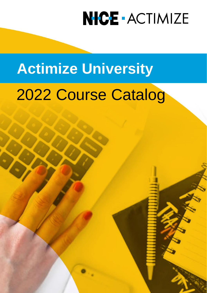# **Actimize University**

# 2022 Course Catalog

Confidential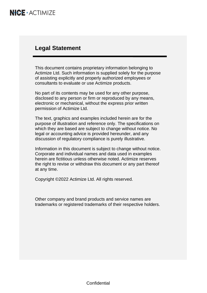### **Legal Statement**

This document contains proprietary information belonging to Actimize Ltd. Such information is supplied solely for the purpose of assisting explicitly and properly authorized employees or consultants to evaluate or use Actimize products.

No part of its contents may be used for any other purpose, disclosed to any person or firm or reproduced by any means, electronic or mechanical, without the express prior written permission of Actimize Ltd.

The text, graphics and examples included herein are for the purpose of illustration and reference only. The specifications on which they are based are subject to change without notice. No legal or accounting advice is provided hereunder, and any discussion of regulatory compliance is purely illustrative.

Information in this document is subject to change without notice. Corporate and individual names and data used in examples herein are fictitious unless otherwise noted. Actimize reserves the right to revise or withdraw this document or any part thereof at any time.

Copyright ©2022 Actimize Ltd. All rights reserved.

Other company and brand products and service names are trademarks or registered trademarks of their respective holders.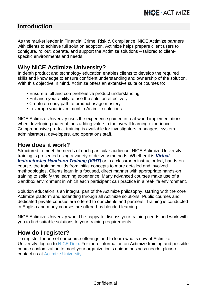### **Introduction**

As the market leader in Financial Crime, Risk & Compliance, NICE Actimize partners with clients to achieve full solution adoption. Actimize helps prepare client users to configure, rollout, operate, and support the Actimize solutions – tailored to clientspecific environments and needs.

### **Why NICE Actimize University?**

In depth product and technology education enables clients to develop the required skills and knowledge to ensure confident understanding and ownership of the solution. With this objective in mind. Actimize offers an extensive suite of courses to:

- Ensure a full and comprehensive product understanding
- Enhance your ability to use the solution effectively
- Create an easy path to product usage mastery
- Leverage your investment in Actimize solutions

NICE Actimize University uses the experience gained in real-world implementations when developing material thus adding value to the overall learning experience. Comprehensive product training is available for investigators, managers, system administrators, developers, and operations staff.

### **How does it work?**

Structured to meet the needs of each particular audience, NICE Actimize University training is presented using a variety of delivery methods. Whether it is *Virtual Instructor-led Hands-on Training (VIHT)* or in a classroom instructor led, hands-on course, the training builds from initial concepts to more detailed and involved methodologies. Clients learn in a focused, direct manner with appropriate hands-on training to solidify the learning experience. Many advanced courses make use of a Sandbox environment in which each participant can practice in a real-life environment.

Solution education is an integral part of the Actimize philosophy, starting with the core Actimize platform and extending through all Actimize solutions. Public courses and dedicated private courses are offered to our clients and partners. Training is conducted in English and many courses are offered as blended learning.

NICE Actimize University would be happy to discuss your training needs and work with you to find suitable solutions to your training requirements.

### **How do I register?**

To register for one of our course offerings and to learn what's new at Actimize University, log on t[o NICE Dojo.](https://nice.csod.com/) For more information on Actimize training and possible course customization to meet your organization's unique business needs, please contact us at [Actimize University.](mailto:training@niceactimize.com?subject=AU%20Catalog%20Inquiry)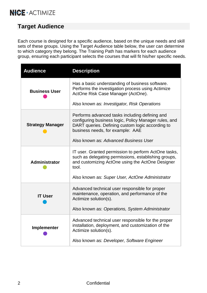# **Target Audience**

Each course is designed for a specific audience, based on the unique needs and skill sets of these groups. Using the Target Audience table below, the user can determine to which category they belong. The Training Path has markers for each audience group, ensuring each participant selects the courses that will fit his/her specific needs.

| <b>Audience</b>         | <b>Description</b>                                                                                                                                                                                                                       |
|-------------------------|------------------------------------------------------------------------------------------------------------------------------------------------------------------------------------------------------------------------------------------|
| <b>Business User</b>    | Has a basic understanding of business software.<br>Performs the investigation process using Actimize<br>ActOne Risk Case Manager (ActOne).<br>Also known as: Investigator, Risk Operations                                               |
| <b>Strategy Manager</b> | Performs advanced tasks including defining and<br>configuring business logic, Policy Manager rules, and<br>DART queries. Defining custom logic according to<br>business needs, for example: AAE<br>Also known as: Advanced Business User |
| Administrator           | IT user. Granted permission to perform ActOne tasks,<br>such as delegating permissions, establishing groups,<br>and customizing ActOne using the ActOne Designer<br>tool.<br>Also known as: Super User, ActOne Administrator             |
| <b>IT User</b>          | Advanced technical user responsible for proper<br>maintenance, operation, and performance of the<br>Actimize solution(s).<br>Also known as: Operations, System Administrator                                                             |
| Implementer             | Advanced technical user responsible for the proper<br>installation, deployment, and customization of the<br>Actimize solution(s).<br>Also known as: Developer, Software Engineer                                                         |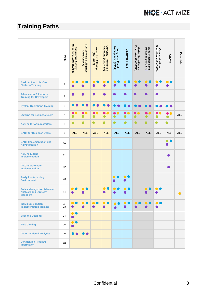# <span id="page-4-0"></span>**Training Paths**

|                                                                                       | a6ed           | Monitoring (AML-SAM 9)<br><b>Suspicious Activity</b> | Customer Due Diligence<br>Customer Due Diligence | <b>Watch List Filtering</b><br>(AML-WLF) | Currency Transaction<br>Reporting (AML-CTR) | Management (IFM-X)<br>Integrated Fraud                                                                                                  | <b>Employee Fraud</b>         | Enterprise (FMC-MSE)<br>Market Surveillance | Sales Practices and<br>Suitability (FMC-SP) | Surveillance (FMC-CS)<br>Communications | ActOne                      | Essentials |
|---------------------------------------------------------------------------------------|----------------|------------------------------------------------------|--------------------------------------------------|------------------------------------------|---------------------------------------------|-----------------------------------------------------------------------------------------------------------------------------------------|-------------------------------|---------------------------------------------|---------------------------------------------|-----------------------------------------|-----------------------------|------------|
| <b>Basic AIS and ActOne</b><br><b>Platform Training</b>                               | $\overline{4}$ | $\bullet$<br>n                                       | ●<br>O                                           | ●<br>O                                   | $\bullet$<br>O                              | $\bullet$<br><b>Contract Contract Contract Contract Contract Contract Contract Contract Contract Contract Contract Contract Co</b><br>● | $\bullet$<br>●                | $\bullet$<br>c<br>●                         | ∩                                           | ●                                       | 0                           |            |
| <b>Advanced AIS Platform</b><br><b>Training for Developers</b>                        | 5              | $\bullet$                                            | ●                                                |                                          | ∙                                           | ●                                                                                                                                       | ●                             |                                             |                                             | e                                       |                             |            |
| <b>System Operations Training</b>                                                     | 6              |                                                      |                                                  |                                          |                                             |                                                                                                                                         |                               |                                             |                                             |                                         |                             |            |
| <b>ActOne for Business Users</b>                                                      | $\overline{7}$ | $\bullet$<br>٥<br>$\bullet$                          | $\bullet\bullet$<br>$\bullet$                    | $\bullet$<br>O<br>$\bullet$              | ●<br>●<br>$\bullet$                         | <br>$\bullet$                                                                                                                           | $\bullet\bullet$<br>$\bullet$ | $\bullet$                                   | $\bullet$                                   | 8 O<br>$\bullet$                        | $\bullet$<br>0<br>$\bullet$ | <b>ALL</b> |
| <b>ActOne for Administrators</b>                                                      | 8              | $\bullet$                                            | $\bullet$                                        | $\bullet$                                | $\bullet$                                   | $\bullet$                                                                                                                               | $\bullet$                     | $\bullet$                                   | $\bullet$                                   | ●                                       | $\bullet$                   |            |
| <b>DART for Business Users</b>                                                        | 9              | <b>ALL</b>                                           | <b>ALL</b>                                       | <b>ALL</b>                               | <b>ALL</b>                                  | <b>ALL</b>                                                                                                                              | <b>ALL</b>                    | <b>ALL</b>                                  | <b>ALL</b>                                  | <b>ALL</b>                              | <b>ALL</b>                  | <b>ALL</b> |
| <b>DART</b> Implementation and<br><b>Administration</b>                               | 10             |                                                      |                                                  |                                          |                                             |                                                                                                                                         |                               |                                             |                                             |                                         | $\bullet$<br>O              |            |
| <b>ActOne Extend</b><br><b>Implementation</b>                                         | 11             |                                                      |                                                  |                                          |                                             |                                                                                                                                         |                               |                                             |                                             |                                         | ●                           |            |
| <b>ActOne Automate</b><br><b>Implementation</b>                                       | 12             |                                                      |                                                  |                                          |                                             |                                                                                                                                         |                               |                                             |                                             |                                         |                             |            |
| <b>Analytics Authoring</b><br><b>Environment</b>                                      | 13             |                                                      |                                                  |                                          |                                             | . .<br>●                                                                                                                                | $\bullet$ $\bullet$<br>c      |                                             |                                             |                                         |                             |            |
| <b>Policy Manager for Advanced</b><br><b>Analysts and Strategy</b><br><b>Managers</b> | 14             |                                                      | $\bullet$                                        |                                          | $\bullet$                                   | $\bullet$                                                                                                                               | $\bullet$                     |                                             |                                             |                                         |                             | ●          |
| <b>Individual Solution</b><br><b>Implementation Training</b>                          | $15 -$<br>23   | O                                                    |                                                  | O                                        | $\bullet$<br>$\bullet$                      | $\bullet$<br>●                                                                                                                          | $\bullet$                     | O                                           |                                             |                                         |                             |            |
| <b>Scenario Designer</b>                                                              | 24             | ∍<br>◠<br>●                                          |                                                  |                                          |                                             |                                                                                                                                         |                               |                                             |                                             |                                         |                             |            |
| <b>Rule Cloning</b>                                                                   | 25             | ●                                                    |                                                  |                                          |                                             |                                                                                                                                         |                               |                                             |                                             |                                         |                             |            |
| <b>Actimize Visual Analytics</b>                                                      | 26             |                                                      |                                                  |                                          |                                             |                                                                                                                                         |                               |                                             |                                             |                                         |                             |            |
| <b>Certification Program</b><br><b>Information</b>                                    | 28             |                                                      |                                                  |                                          |                                             |                                                                                                                                         |                               |                                             |                                             |                                         |                             |            |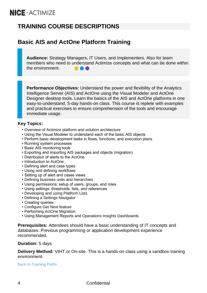# **TRAINING COURSE DESCRIPTIONS**

# <span id="page-5-0"></span>**Basic AIS and ActOne Platform Training**

**Audience:** Strategy Managers, IT Users, and Implementers. Also for team members who need to understand Actimize concepts and what can be done within the environment.  $\bullet\bullet\bullet$ 

**Performance Objectives:** Understand the power and flexibility of the Analytics Intelligence Server (AIS) and ActOne using the Visual Modeler and ActOne Designer desktop tools. Learn the basics of the AIS and ActOne platforms in one easy-to-understand, 5-day hands-on class. This course is replete with examples and practical exercises to ensure comprehension of the tools and encourage immediate usage.

#### **Key Topics:**

- Overview of Actimize platform and solution architecture
- Using the Visual Modeler to understand each of the basic AIS objects
- Perform basic development tasks in flows, functions, and execution plans
- Running system processes
- Basic AIS monitoring tools
- Exporting and importing AIS packages and objects (migration)
- Distribution of alerts to the ActOne
- Introduction to ActOne
- Defining alert and case types
- Using and defining workflows
- Setting up of alert and cases views
- Defining business units and hierarchies
- Using permissions: setup of users, groups, and roles
- Using settings: thresholds, lists, and references
- Developing and using Platform Lists
- Defining a Settings Navigator
- Creating queries
- Configure Get Next feature
- Performing ActOne Migration
- Using Management Reports and Operations Insights Dashboards

**Prerequisites:** Attendees should have a basic understanding of IT concepts and databases. Previous programming or application development experience recommended.

#### **Duration:** 5 days

<span id="page-5-1"></span>**Delivery Method:** VIHT or On-site. This is a hands-on class using a sandbox training environment.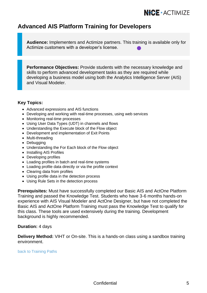### **Advanced AIS Platform Training for Developers**

**Audience:** Implementers and Actimize partners. This training is available only for Actimize customers with a developer's license.

**Performance Objectives:** Provide students with the necessary knowledge and skills to perform advanced development tasks as they are required while developing a business model using both the Analytics Intelligence Server (AIS) and Visual Modeler.

#### **Key Topics:**

- Advanced expressions and AIS functions
- Developing and working with real-time processes, using web services
- Monitoring real-time processes
- Using User Data Types (UDT) in channels and flows
- Understanding the Execute block of the Flow object
- Development and implementation of Exit Points
- Multi-threading
- Debugging
- Understanding the For Each block of the Flow object
- Installing AIS Profiles
- Developing profiles
- Loading profiles in batch and real-time systems
- Loading profile data directly or via the profile context
- Clearing data from profiles
- Using profile data in the detection process
- Using Rule Sets in the detection process

**Prerequisites:** Must have successfully completed our Basic AIS and ActOne Platform Training and passed the Knowledge Test. Students who have 3-6 months hands-on experience with AIS Visual Modeler and ActOne Designer, but have not completed the Basic AIS and ActOne Platform Training must pass the Knowledge Test to qualify for this class. These tools are used extensively during the training. Development background is highly recommended.

#### **Duration:** 4 days

**Delivery Method:** VIHT or On-site. This is a hands-on class using a sandbox training environment.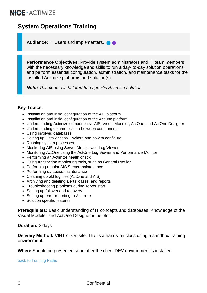# <span id="page-7-0"></span>**System Operations Training**

**Audience:** IT Users and Implementers. **O** 

**Performance Objectives:** Provide system administrators and IT team members with the necessary knowledge and skills to run a day- to-day solution operations and perform essential configuration, administration, and maintenance tasks for the installed Actimize platforms and solution(s).

*Note: This course is tailored to a specific Actimize solution.*

#### **Key Topics:**

- Installation and initial configuration of the AIS platform
- Installation and initial configuration of the ActOne platform
- Understanding Actimize components: AIS, Visual Modeler, ActOne, and ActOne Designer
- Understanding communication between components
- Using involved databases
- Setting up Data Access Where and how to configure
- Running system processes
- Monitoring AIS using Server Monitor and Log Viewer
- Monitoring ActOne using the ActOne Log Viewer and Performance Monitor
- Performing an Actimize health check
- Using transaction monitoring tools, such as General Profiler
- Performing regular AIS Server maintenance
- Performing database maintenance
- Cleaning up old log files (ActOne and AIS)
- Archiving and deleting alerts, cases, and reports
- Troubleshooting problems during server start
- Setting up failover and recovery
- Setting up error reporting to Actimize
- Solution specific features

**Prerequisites:** Basic understanding of IT concepts and databases. Knowledge of the Visual Modeler and ActOne Designer is helpful.

#### **Duration:** 2 days

**Delivery Method:** VIHT or On-site. This is a hands-on class using a sandbox training environment.

**When:** Should be presented soon after the client DEV environment is installed.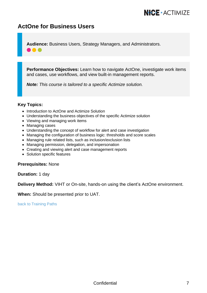### <span id="page-8-0"></span>**ActOne for Business Users**

**Audience:** Business Users, Strategy Managers, and Administrators.

**Performance Objectives:** Learn how to navigate ActOne, investigate work items and cases, use workflows, and view built-in management reports.

*Note: This course is tailored to a specific Actimize solution.*

#### **Key Topics:**

- Introduction to ActOne and Actimize Solution
- Understanding the business objectives of the specific Actimize solution
- Viewing and managing work items
- Managing cases
- Understanding the concept of workflow for alert and case investigation
- Managing the configuration of business logic: thresholds and score scales
- Managing rule related lists, such as inclusion/exclusion lists
- Managing permission, delegation, and impersonation
- Creating and viewing alert and case management reports
- Solution specific features

**Prerequisites:** None

**Duration:** 1 day

**Delivery Method:** VIHT or On-site, hands-on using the client's ActOne environment.

**When:** Should be presented prior to UAT.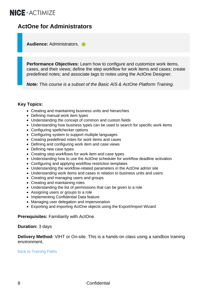### <span id="page-9-0"></span>**ActOne for Administrators**

**Audience:** Administrators.

**Performance Objectives:** Learn how to configure and customize work items, cases, and their views; define the step workflow for work items and cases; create predefined notes; and associate tags to notes using the ActOne Designer.

*Note: This course is a subset of the Basic AIS & ActOne Platform Training.*

#### **Key Topics:**

- Creating and maintaining business units and hierarchies
- Defining manual work item types
- Understanding the concept of common and custom fields
- Understanding how business types can be used to search for specific work items
- Configuring spellchecker options
- Configuring system to support multiple languages
- Creating predefined notes for work items and cases
- Defining and configuring work item and case views
- Defining new case types
- Creating step workflows for work item and case types
- Understanding how to use the ActOne scheduler for workflow deadline activation
- Configuring and applying workflow restriction templates
- Understanding the workflow-related parameters in the ActOne admin site
- Understanding work items and cases in relation to business units and users
- Creating and managing users and groups
- Creating and maintaining roles
- Understanding the list of permissions that can be given to a role
- Assigning users or groups to a role
- Implementing Confidential Data feature
- Managing user delegation and impersonation
- Exporting and importing ActOne objects using the Export/Import Wizard

**Prerequisites:** Familiarity with ActOne.

#### **Duration:** 3 days

**Delivery Method:** VIHT or On-site. This is a hands-on class using a sandbox training environment.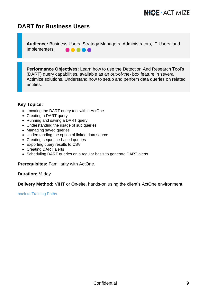### <span id="page-10-0"></span>**DART for Business Users**

**Audience:** Business Users, Strategy Managers, Administrators, IT Users, and Implementers. **.....** 

**Performance Objectives:** Learn how to use the Detection And Research Tool's (DART) query capabilities, available as an out-of-the- box feature in several Actimize solutions. Understand how to setup and perform data queries on related entities.

#### **Key Topics:**

- Locating the DART query tool within ActOne
- Creating a DART query
- Running and saving a DART query
- Understanding the usage of sub queries
- Managing saved queries
- Understanding the option of linked data source
- Creating sequence-based queries
- Exporting query results to CSV
- Creating DART alerts
- Scheduling DART queries on a regular basis to generate DART alerts

**Prerequisites:** Familiarity with ActOne.

**Duration:** ½ day

**Delivery Method:** VIHT or On-site, hands-on using the client's ActOne environment.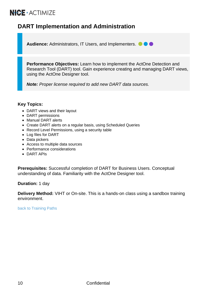# <span id="page-11-0"></span>**DART Implementation and Administration**

Audience: Administrators, IT Users, and Implementers.  $\bullet \bullet \bullet$ 

**Performance Objectives:** Learn how to implement the ActOne Detection and Research Tool (DART) tool. Gain experience creating and managing DART views, using the ActOne Designer tool.

*Note: Proper license required to add new DART data sources.*

#### **Key Topics:**

- DART views and their layout
- DART permissions
- Manual DART alerts
- Create DART alerts on a regular basis, using Scheduled Queries
- Record Level Permissions, using a security table
- Log files for DART
- Data pickers
- Access to multiple data sources
- Performance considerations
- DART APIs

**Prerequisites:** Successful completion of DART for Business Users. Conceptual understanding of data. Familiarity with the ActOne Designer tool.

**Duration:** 1 day

**Delivery Method:** VIHT or On-site. This is a hands-on class using a sandbox training environment.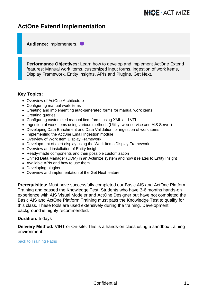### <span id="page-12-0"></span>**ActOne Extend Implementation**

**Audience:** Implementers.

**Performance Objectives:** Learn how to develop and implement ActOne Extend features: Manual work items, customized input forms, ingestion of work items, Display Framework, Entity Insights, APIs and Plugins, Get Next.

#### **Key Topics:**

- Overview of ActOne Architecture
- Configuring manual work items
- Creating and implementing auto-generated forms for manual work items
- Creating queries
- Configuring customized manual item forms using XML and VTL
- Ingestion of work items using various methods (Utility, web-service and AIS Server)
- Developing Data Enrichment and Data Validation for ingestion of work items
- Implementing the ActOne Email Ingestion module
- Overview of Work Item Display Framework
- Development of alert display using the Work Items Display Framework
- Overview and installation of Entity Insight
- Ready-made components and their possible customization
- Unified Data Manager (UDM) in an Actimize system and how it relates to Entity Insight
- Available APIs and how to use them
- Developing plugins
- Overview and implementation of the Get Next feature

**Prerequisites:** Must have successfully completed our Basic AIS and ActOne Platform Training and passed the Knowledge Test. Students who have 3-6 months hands-on experience with AIS Visual Modeler and ActOne Designer but have not completed the Basic AIS and ActOne Platform Training must pass the Knowledge Test to qualify for this class. These tools are used extensively during the training. Development background is highly recommended.

#### **Duration:** 5 days

**Delivery Method:** VIHT or On-site. This is a hands-on class using a sandbox training environment.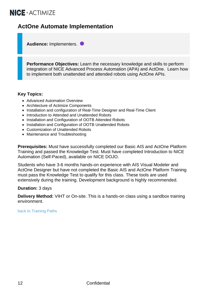# <span id="page-13-0"></span>**ActOne Automate Implementation**

**Audience:** Implementers.

**Performance Objectives:** Learn the necessary knowledge and skills to perform integration of NICE Advanced Process Automation (APA) and ActOne. Learn how to implement both unattended and attended robots using ActOne APIs.

#### **Key Topics:**

- Advanced Automation Overview
- Architecture of Actimize Components
- Installation and configuration of Real-Time Designer and Real-Time Client
- Introduction to Attended and Unattended Robots
- Installation and Configuration of OOTB Attended Robots
- Installation and Configuration of OOTB Unattended Robots
- Customization of Unattended Robots
- Maintenance and Troubleshooting

**Prerequisites:** Must have successfully completed our Basic AIS and ActOne Platform Training and passed the Knowledge Test. Must have completed Introduction to NICE Automation (Self-Paced), available on NICE DOJO.

Students who have 3-6 months hands-on experience with AIS Visual Modeler and ActOne Designer but have not completed the Basic AIS and ActOne Platform Training must pass the Knowledge Test to qualify for this class. These tools are used extensively during the training. Development background is highly recommended.

#### **Duration:** 3 days

**Delivery Method:** VIHT or On-site. This is a hands-on class using a sandbox training environment.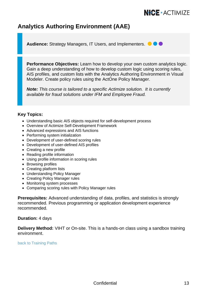### <span id="page-14-0"></span>**Analytics Authoring Environment (AAE)**

**Audience:** Strategy Managers, IT Users, and Implementers,  $\bigcirc$   $\bigcirc$ 

**Performance Objectives:** Learn how to develop your own custom analytics logic. Gain a deep understanding of how to develop custom logic using scoring rules. AIS profiles, and custom lists with the Analytics Authoring Environment in Visual Modeler. Create policy rules using the ActOne Policy Manager.

*Note: This course is tailored to a specific Actimize solution. It is currently available for fraud solutions under IFM and Employee Fraud.*

#### **Key Topics:**

- Understanding basic AIS objects required for self-development process
- Overview of Actimize Self-Development Framework
- Advanced expressions and AIS functions
- Performing system initialization
- Development of user-defined scoring rules
- Development of user-defined AIS profiles
- Creating a new profile
- Reading profile information
- Using profile information in scoring rules
- Browsing profiles
- Creating platform lists
- Understanding Policy Manager
- Creating Policy Manager rules
- Monitoring system processes
- Comparing scoring rules with Policy Manager rules

**Prerequisites:** Advanced understanding of data, profiles, and statistics is strongly recommended. Previous programming or application development experience recommended.

#### **Duration:** 4 days

**Delivery Method:** VIHT or On-site. This is a hands-on class using a sandbox training environment.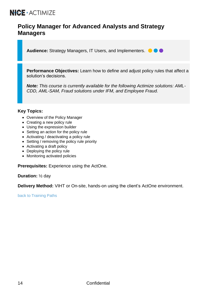### <span id="page-15-0"></span>**Policy Manager for Advanced Analysts and Strategy Managers**

**Audience:** Strategy Managers, IT Users, and Implementers.

**Performance Objectives:** Learn how to define and adjust policy rules that affect a solution's decisions.

*Note: This course is currently available for the following Actimize solutions: AML-CDD, AML-SAM, Fraud solutions under IFM, and Employee Fraud.*

#### **Key Topics:**

- Overview of the Policy Manager
- Creating a new policy rule
- Using the expression builder
- Setting an action for the policy rule
- Activating / deactivating a policy rule
- Setting / removing the policy rule priority
- Activating a draft policy
- Deploying the policy rule
- Monitoring activated policies

**Prerequisites:** Experience using the ActOne.

**Duration:** ½ day

<span id="page-15-1"></span>**Delivery Method:** VIHT or On-site, hands-on using the client's ActOne environment.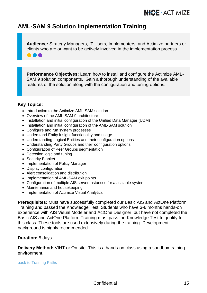### **AML-SAM 9 Solution Implementation Training**

**Audience:** Strategy Managers, IT Users, Implementers, and Actimize partners or clients who are or want to be actively involved in the implementation process.

**Performance Objectives:** Learn how to install and configure the Actimize AML-SAM 9 solution components. Gain a thorough understanding of the available features of the solution along with the configuration and tuning options.

#### **Key Topics:**

n a

- Introduction to the Actimize AML-SAM solution
- Overview of the AML-SAM 9 architecture
- Installation and initial configuration of the Unified Data Manager (UDM)
- Installation and initial configuration of the AML-SAM solution
- Configure and run system processes
- Understand Entity Insight functionality and usage
- Understanding Logical Entities and their configuration options
- Understanding Party Groups and their configuration options
- Configuration of Peer Groups segmentation
- Detection logic and tuning
- Security Blanket
- Implementation of Policy Manager
- Display configuration
- Alert consolidation and distribution
- Implementation of AML-SAM exit points
- Configuration of multiple AIS server instances for a scalable system
- Maintenance and housekeeping
- Implementation of Actimize Visual Analytics

**Prerequisites:** Must have successfully completed our Basic AIS and ActOne Platform Training and passed the Knowledge Test. Students who have 3-6 months hands-on experience with AIS Visual Modeler and ActOne Designer, but have not completed the Basic AIS and ActOne Platform Training must pass the Knowledge Test to qualify for this class. These tools are used extensively during the training. Development background is highly recommended.

#### **Duration:** 5 days

**Delivery Method:** VIHT or On-site. This is a hands-on class using a sandbox training environment.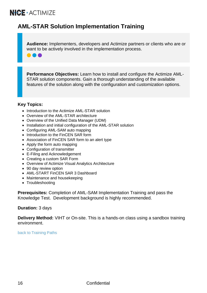88 Q

# **AML-STAR Solution Implementation Training**

**Audience:** Implementers, developers and Actimize partners or clients who are or want to be actively involved in the implementation process.

**Performance Objectives:** Learn how to install and configure the Actimize AML-STAR solution components. Gain a thorough understanding of the available features of the solution along with the configuration and customization options.

#### **Key Topics:**

- Introduction to the Actimize AML-STAR solution
- Overview of the AML-STAR architecture
- Overview of the Unified Data Manager (UDM)
- Installation and initial configuration of the AML-STAR solution
- Configuring AML-SAM auto mapping
- Introduction to the FinCEN SAR form
- Association of FinCEN SAR form to an alert type
- Apply the form auto mapping
- Configuration of transmitter
- E-Filing and Acknowledgement
- Creating a custom SAR Form
- Overview of Actimize Visual Analytics Architecture
- 90 day review option
- AML-START FinCEN SAR 3 Dashboard
- Maintenance and housekeeping
- Troubleshooting

**Prerequisites:** Completion of AML-SAM Implementation Training and pass the Knowledge Test. Development background is highly recommended.

#### **Duration:** 3 days

**Delivery Method:** VIHT or On-site. This is a hands-on class using a sandbox training environment.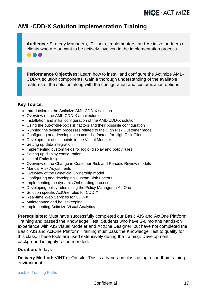### **AML-CDD-X Solution Implementation Training**

**Audience:** Strategy Managers, IT Users, Implementers, and Actimize partners or clients who are or want to be actively involved in the implementation process.

**Performance Objectives:** Learn how to install and configure the Actimize AML-CDD-X solution components. Gain a thorough understanding of the available features of the solution along with the configuration and customization options.

#### **Key Topics:**

**..** 

- Introduction to the Actimize AML-CDD-X solution
- Overview of the AML-CDD-X architecture
- Installation and initial configuration of the AML-CDD-X solution
- Using the out-of-the-box risk factors and their possible configuration
- Running the system processes related to the High Risk Customer model
- Configuring and developing custom risk factors for High Risk Clients
- Development of exit points in the Visual Modeler
- Setting up data integration
- Implementing custom fields for logic, display and policy rules
- Setting up display configuration
- Use of Entity Insight
- Overview of the Change in Customer Risk and Periodic Review models
- Manual Risk Adjustments
- Overview of the Beneficial Ownership model
- Configuring and developing Custom Risk Factors
- Implementing the dynamic Onboarding process
- Developing policy rules using the Policy Manager in ActOne
- Solution specific ActOne roles for CDD-X
- Real-time Web Services for CDD-X
- Maintenance and housekeeping
- Implementing Actimize Visual Analytics

**Prerequisites:** Must have successfully completed our Basic AIS and ActOne Platform Training and passed the Knowledge Test. Students who have 3-6 months hands-on experience with AIS Visual Modeler and ActOne Designer, but have not completed the Basic AIS and ActOne Platform Training must pass the Knowledge Test to qualify for this class. These tools are used extensively during the training. Development background is highly recommended.

#### **Duration:** 5 days

**Delivery Method:** VIHT or On-site. This is a hands-on class using a sandbox training environment.

#### [back to Training](#page-4-0) Paths

Confidential 17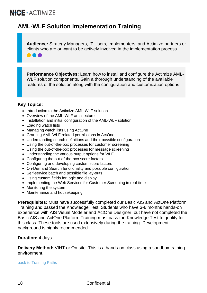**...** 

### **AML-WLF Solution Implementation Training**

**Audience:** Strategy Managers, IT Users, Implementers, and Actimize partners or clients who are or want to be actively involved in the implementation process.

**Performance Objectives:** Learn how to install and configure the Actimize AML-WLF solution components. Gain a thorough understanding of the available features of the solution along with the configuration and customization options.

#### **Key Topics:**

- Introduction to the Actimize AML-WLF solution
- Overview of the AML-WLF architecture
- Installation and initial configuration of the AML-WLF solution
- Loading watch lists
- Managing watch lists using ActOne
- Granting AML-WLF related permissions in ActOne
- Understanding search definitions and their possible configuration
- Using the out-of-the-box processes for customer screening
- Using the out-of-the-box processes for message screening
- Understanding the various output options for WLF
- Configuring the out-of-the-box score factors
- Configuring and developing custom score factors
- On-Demand Search functionality and possible configuration
- Self-service batch and possible file lay-outs
- Using custom fields for logic and display
- Implementing the Web Services for Customer Screening in real-time
- Monitoring the system
- Maintenance and housekeeping

**Prerequisites:** Must have successfully completed our Basic AIS and ActOne Platform Training and passed the Knowledge Test. Students who have 3-6 months hands-on experience with AIS Visual Modeler and ActOne Designer, but have not completed the Basic AIS and ActOne Platform Training must pass the Knowledge Test to qualify for this class. These tools are used extensively during the training. Development background is highly recommended.

#### **Duration:** 4 days

**Delivery Method:** VIHT or On-site. This is a hands-on class using a sandbox training environment.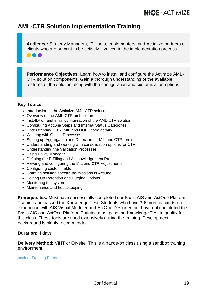### **AML-CTR Solution Implementation Training**

**Audience:** Strategy Managers, IT Users, Implementers, and Actimize partners or clients who are or want to be actively involved in the implementation process.

**Performance Objectives:** Learn how to install and configure the Actimize AML-CTR solution components. Gain a thorough understanding of the available features of the solution along with the configuration and customization options.

#### **Key Topics:**

...

- Introduction to the Actimize AML-CTR solution
- Overview of the AML-CTR architecture
- Installation and initial configuration of the AML-CTR solution
- Configuring ActOne Steps and Internal Status Categories
- Understanding CTR, MIL and DOEP form details
- Working with Online Processes
- Setting up Aggregation and Detection for MIL and CTR forms
- Understanding and working with consolidation options for CTR
- Understanding the Validation Processes
- Using Policy Manager
- Defining the E-Filing and Acknowledgement Process
- Viewing and configuring the MIL and CTR Adjustments
- Configuring custom fields
- Granting solution specific permissions in ActOne
- Setting Up Retention and Purging Options
- Monitoring the system
- Maintenance and housekeeping

**Prerequisites:** Must have successfully completed our Basic AIS and ActOne Platform Training and passed the Knowledge Test. Students who have 3-6 months hands-on experience with AIS Visual Modeler and ActOne Designer, but have not completed the Basic AIS and ActOne Platform Training must pass the Knowledge Test to qualify for this class. These tools are used extensively during the training. Development background is highly recommended.

#### **Duration:** 4 days

**Delivery Method:** VIHT or On-site. This is a hands-on class using a sandbox training environment.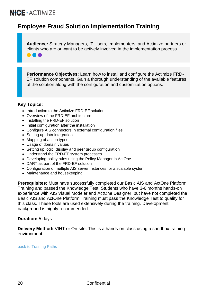88 Q

## **Employee Fraud Solution Implementation Training**

**Audience:** Strategy Managers, IT Users, Implementers, and Actimize partners or clients who are or want to be actively involved in the implementation process.

**Performance Objectives:** Learn how to install and configure the Actimize FRD-EF solution components. Gain a thorough understanding of the available features of the solution along with the configuration and customization options.

#### **Key Topics:**

- Introduction to the Actimize FRD-EF solution
- Overview of the FRD-EF architecture
- Installing the FRD-EF solution
- Initial configuration after the installation
- Configure AIS connectors in external configuration files
- Setting up data integration
- Mapping of action types
- Usage of domain values
- Setting up logic, display and peer group configuration
- Understand the FRD-EF system processes
- Developing policy rules using the Policy Manager in ActOne
- DART as part of the FRD-EF solution
- Configuration of multiple AIS server instances for a scalable system
- Maintenance and housekeeping

**Prerequisites:** Must have successfully completed our Basic AIS and ActOne Platform Training and passed the Knowledge Test. Students who have 3-6 months hands-on experience with AIS Visual Modeler and ActOne Designer, but have not completed the Basic AIS and ActOne Platform Training must pass the Knowledge Test to qualify for this class. These tools are used extensively during the training. Development background is highly recommended.

#### **Duration:** 5 days

**Delivery Method:** VIHT or On-site. This is a hands-on class using a sandbox training environment.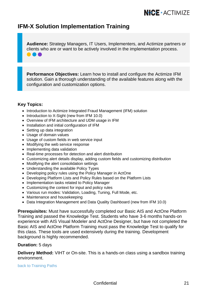### **IFM-X Solution Implementation Training**

**Audience:** Strategy Managers, IT Users, Implementers, and Actimize partners or clients who are or want to be actively involved in the implementation process. 8 & &

**Performance Objectives:** Learn how to install and configure the Actimize IFM solution. Gain a thorough understanding of the available features along with the configuration and customization options.

#### **Key Topics:**

- Introduction to Actimize Integrated Fraud Management (IFM) solution
- Introduction to X-Sight (new from IFM 10.0)
- Overview of IFM architecture and UDM usage in IFM
- Installation and initial configuration of IFM
- Setting up data integration
- Usage of domain values
- Usage of custom fields in web service input
- Modifying the web service response
- Implementing data validation
- Real-time processes for detection and alert distribution
- Customizing alert details display, adding custom fields and customizing distribution
- Modifying the alert consolidation settings
- Understanding the available Policy Types
- Developing policy rules using the Policy Manager in ActOne
- Developing Platform Lists and Policy Rules based on the Platform Lists
- Implementation tasks related to Policy Manager
- Customizing the context for input and policy rules
- Various run modes: Validation, Loading, Tuning, Full Mode, etc.
- Maintenance and housekeeping
- Data Integration Management and Data Quality Dashboard (new from IFM 10.0)

**Prerequisites:** Must have successfully completed our Basic AIS and ActOne Platform Training and passed the Knowledge Test. Students who have 3-6 months hands-on experience with AIS Visual Modeler and ActOne Designer, but have not completed the Basic AIS and ActOne Platform Training must pass the Knowledge Test to qualify for this class. These tools are used extensively during the training. Development background is highly recommended.

#### **Duration:** 5 days

**Delivery Method:** VIHT or On-site. This is a hands-on class using a sandbox training environment.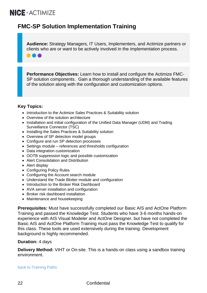$\blacksquare$ 

## **FMC-SP Solution Implementation Training**

**Audience:** Strategy Managers, IT Users, Implementers, and Actimize partners or clients who are or want to be actively involved in the implementation process.

**Performance Objectives:** Learn how to install and configure the Actimize FMC-SP solution components. Gain a thorough understanding of the available features of the solution along with the configuration and customization options.

#### **Key Topics:**

- Introduction to the Actimize Sales Practices & Suitability solution
- Overview of the solution architecture
- Installation and initial configuration of the Unified Data Manager (UDM) and Trading Surveillance Connector (TSC)
- Installing the Sales Practices & Suitability solution
- Overview of SP detection model groups
- Configure and run SP detection processes
- Settings module references and thresholds configuration
- Data integration customization
- OOTB suppression logic and possible customization
- Alert Consolidation and Distribution
- Alert display
- Configuring Policy Rules
- Configuring the Account search module
- Understand the Trade Blotter module and configuration
- Introduction to the Broker Risk Dashboard
- AVA server installation and configuration
- Broker risk dashboard installation
- Maintenance and housekeeping

**Prerequisites:** Must have successfully completed our Basic AIS and ActOne Platform Training and passed the Knowledge Test. Students who have 3-6 months hands-on experience with AIS Visual Modeler and ActOne Designer, but have not completed the Basic AIS and ActOne Platform Training must pass the Knowledge Test to qualify for this class. These tools are used extensively during the training. Development background is highly recommended.

#### **Duration:** 4 days

**Delivery Method:** VIHT or On-site. This is a hands-on class using a sandbox training environment.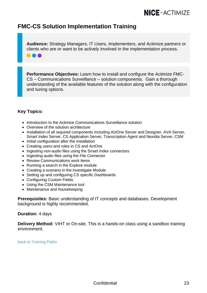### **FMC-CS Solution Implementation Training**

**Audience:** Strategy Managers, IT Users, Implementers, and Actimize partners or clients who are or want to be actively involved in the implementation process.

**Performance Objectives:** Learn how to install and configure the Actimize FMC-CS – Communications Surveillance – solution components. Gain a thorough understanding of the available features of the solution along with the configuration and tuning options.

#### **Key Topics:**

- Introduction to the Actimize Communications Surveillance solution
- Overview of the solution architecture
- Installation of all required components including ActOne Server and Designer, AVA Server, Smart Index Server, CS Application Server, Transcription Agent and Nexidia Server, CSM
- Initial configuration after the installation
- Creating users and roles in CS and ActOne
- Ingesting non-audio files using the Smart Index connectors
- Ingesting audio files using the File Connector
- Review Communications work items
- Running a search in the Explore module
- Creating a scenario in the Investigate Module
- Setting up and configuring CS specific Dashboards
- Configuring Custom Fields
- Using the CSM Maintenance tool
- Maintenance and housekeeping

**Prerequisites:** Basic understanding of IT concepts and databases. Development background is highly recommended.

#### **Duration:** 4 days

**Delivery Method:** VIHT or On-site. This is a hands-on class using a sandbox training environment.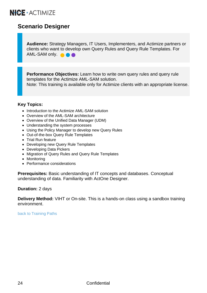### <span id="page-25-0"></span>**Scenario Designer**

**Audience:** Strategy Managers, IT Users, Implementers, and Actimize partners or clients who want to develop own Query Rules and Query Rule Templates. For AML-SAM only. **A** 

**Performance Objectives:** Learn how to write own query rules and query rule templates for the Actimize AML-SAM solution.

Note: This training is available only for Actimize clients with an appropriate license.

#### **Key Topics:**

- Introduction to the Actimize AML-SAM solution
- Overview of the AML-SAM architecture
- Overview of the Unified Data Manager (UDM)
- Understanding the system processes
- Using the Policy Manager to develop new Query Rules
- Out-of-the-box Query Rule Templates
- Trial Run feature
- Developing new Query Rule Templates
- Developing Data Pickers
- Migration of Query Rules and Query Rule Templates
- Monitoring
- Performance considerations

**Prerequisites:** Basic understanding of IT concepts and databases. Conceptual understanding of data. Familiarity with ActOne Designer.

#### **Duration:** 2 days

**Delivery Method:** VIHT or On-site. This is a hands-on class using a sandbox training environment.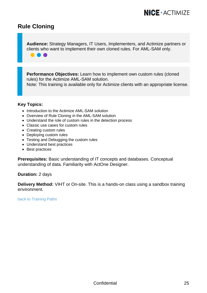### <span id="page-26-0"></span>**Rule Cloning**

**. . .** 

**Audience:** Strategy Managers, IT Users, Implementers, and Actimize partners or clients who want to implement their own cloned rules. For AML-SAM only.

**Performance Objectives:** Learn how to implement own custom rules (cloned rules) for the Actimize AML-SAM solution. Note: This training is available only for Actimize clients with an appropriate license.

#### **Key Topics:**

- Introduction to the Actimize AML-SAM solution
- Overview of Rule Cloning in the AML-SAM solution
- Understand the role of custom rules in the detection process
- Classic use cases for custom rules
- Creating custom rules
- Deploying custom rules
- Testing and Debugging the custom rules
- Understand best practices
- Best practices

**Prerequisites:** Basic understanding of IT concepts and databases. Conceptual understanding of data. Familiarity with ActOne Designer.

#### **Duration:** 2 days

**Delivery Method:** VIHT or On-site. This is a hands-on class using a sandbox training environment.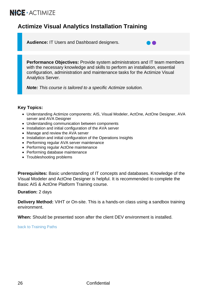# <span id="page-27-0"></span>**Actimize Visual Analytics Installation Training**

**Audience:** IT Users and Dashboard designers.

**Performance Objectives:** Provide system administrators and IT team members with the necessary knowledge and skills to perform an installation, essential configuration, administration and maintenance tasks for the Actimize Visual Analytics Server.

n a

*Note: This course is tailored to a specific Actimize solution.*

#### **Key Topics:**

- Understanding Actimize components: AIS, Visual Modeler, ActOne, ActOne Designer, AVA server and AVA Designer
- Understanding communication between components
- Installation and initial configuration of the AVA server
- Manage and review the AVA server
- Installation and initial configuration of the Operations Insights
- Performing regular AVA server maintenance
- Performing regular ActOne maintenance
- Performing database maintenance
- Troubleshooting problems

**Prerequisites:** Basic understanding of IT concepts and databases. Knowledge of the Visual Modeler and ActOne Designer is helpful. It is recommended to complete the Basic AIS & ActOne Platform Training course.

#### **Duration:** 2 days

**Delivery Method:** VIHT or On-site. This is a hands-on class using a sandbox training environment.

**When:** Should be presented soon after the client DEV environment is installed.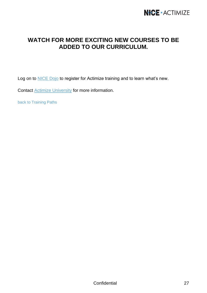### **WATCH FOR MORE EXCITING NEW COURSES TO BE ADDED TO OUR CURRICULUM.**

Log on to **NICE Dojo** to register for Actimize training and to learn what's new.

Contac[t Actimize University](mailto:training@niceactimize.com?subject=AU%20Catalog%20Inquiry) for more information.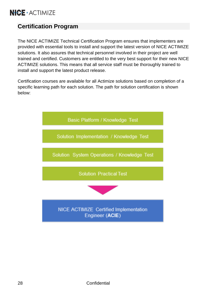# <span id="page-29-0"></span>**Certification Program**

The NICE ACTIMIZE Technical Certification Program ensures that implementers are provided with essential tools to install and support the latest version of NICE ACTIMIZE solutions. It also assures that technical personnel involved in their project are well trained and certified. Customers are entitled to the very best support for their new NICE ACTIMIZE solutions. This means that all service staff must be thoroughly trained to install and support the latest product release.

Certification courses are available for all Actimize solutions based on completion of a specific learning path for each solution. The path for solution certification is shown below:

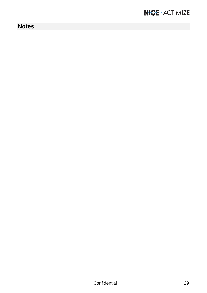# **Notes**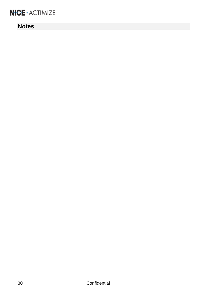## **Notes**